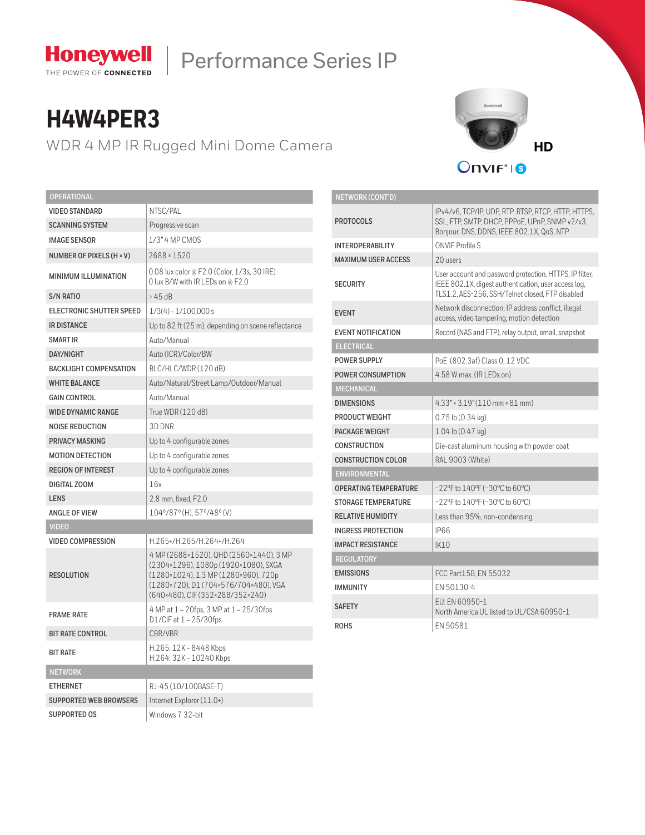

# Honeywell | Performance Series IP

## **H4W4PER3**

WDR 4 MP IR Rugged Mini Dome Camera



| <b>OPERATIONAL</b>            |                                                                                                                                                                                                      |  |  |  |  |
|-------------------------------|------------------------------------------------------------------------------------------------------------------------------------------------------------------------------------------------------|--|--|--|--|
| <b>VIDEO STANDARD</b>         | NTSC/PAL                                                                                                                                                                                             |  |  |  |  |
| <b>SCANNING SYSTEM</b>        | Progressive scan                                                                                                                                                                                     |  |  |  |  |
| <b>IMAGE SENSOR</b>           | 1/3" 4 MP CMOS                                                                                                                                                                                       |  |  |  |  |
| NUMBER OF PIXELS (H × V)      | 2688 × 1520                                                                                                                                                                                          |  |  |  |  |
| <b>MINIMUM ILLUMINATION</b>   | 0.08 lux color @ F2.0 (Color, 1/3s, 30 IRE)<br>O lux B/W with IR LEDs on @ F2.0                                                                                                                      |  |  |  |  |
| <b>S/N RATIO</b>              | $>45$ dB                                                                                                                                                                                             |  |  |  |  |
| ELECTRONIC SHUTTER SPEED      | $1/3(4) - 1/100,000s$                                                                                                                                                                                |  |  |  |  |
| <b>IR DISTANCE</b>            | Up to 82 ft (25 m), depending on scene reflectance                                                                                                                                                   |  |  |  |  |
| <b>SMART IR</b>               | Auto/Manual                                                                                                                                                                                          |  |  |  |  |
| DAY/NIGHT                     | Auto (ICR)/Color/BW                                                                                                                                                                                  |  |  |  |  |
| <b>BACKLIGHT COMPENSATION</b> | BLC/HLC/WDR(120 dB)                                                                                                                                                                                  |  |  |  |  |
| <b>WHITE BALANCE</b>          | Auto/Natural/Street Lamp/Outdoor/Manual                                                                                                                                                              |  |  |  |  |
| <b>GAIN CONTROL</b>           | Auto/Manual                                                                                                                                                                                          |  |  |  |  |
| <b>WIDE DYNAMIC RANGE</b>     | True WDR (120 dB)                                                                                                                                                                                    |  |  |  |  |
| <b>NOISE REDUCTION</b>        | 3D DNR                                                                                                                                                                                               |  |  |  |  |
| PRIVACY MASKING               | Up to 4 configurable zones                                                                                                                                                                           |  |  |  |  |
| <b>MOTION DETECTION</b>       | Up to 4 configurable zones                                                                                                                                                                           |  |  |  |  |
| <b>REGION OF INTEREST</b>     | Up to 4 configurable zones                                                                                                                                                                           |  |  |  |  |
| DIGITAL ZOOM                  | 16x                                                                                                                                                                                                  |  |  |  |  |
| <b>LENS</b>                   | 2.8 mm, fixed, F2.0                                                                                                                                                                                  |  |  |  |  |
| ANGLE OF VIEW                 | 104°/87° (H), 57°/48° (V)                                                                                                                                                                            |  |  |  |  |
| <b>VIDEO</b>                  |                                                                                                                                                                                                      |  |  |  |  |
| <b>VIDEO COMPRESSION</b>      | H.265+/H.265/H.264+/H.264                                                                                                                                                                            |  |  |  |  |
| <b>RESOLUTION</b>             | 4 MP (2688×1520), QHD (2560×1440), 3 MP<br>(2304×1296), 1080p (1920×1080), SXGA<br>(1280×1024), 1.3 MP (1280×960), 720p<br>(1280×720), D1 (704×576/704×480), VGA<br>(640×480), CIF (352×288/352×240) |  |  |  |  |
| <b>FRAME RATE</b>             | 4 MP at 1 - 20fps, 3 MP at 1 - 25/30fps<br>D1/CIF at $1 - 25/30$ fps                                                                                                                                 |  |  |  |  |
| <b>BIT RATE CONTROL</b>       | CBR/VBR                                                                                                                                                                                              |  |  |  |  |
| <b>BIT RATE</b>               | H.265: 12K - 8448 Kbps<br>H.264: 32K - 10240 Kbps                                                                                                                                                    |  |  |  |  |
| <b>NETWORK</b>                |                                                                                                                                                                                                      |  |  |  |  |
| <b>ETHERNET</b>               | RJ-45 (10/100BASE-T)                                                                                                                                                                                 |  |  |  |  |
| <b>SUPPORTED WEB BROWSERS</b> | Internet Explorer (11.0+)                                                                                                                                                                            |  |  |  |  |
| <b>SUPPORTED OS</b>           | Windows 7 32-bit                                                                                                                                                                                     |  |  |  |  |

| NETWORK (CONT'D)             |                                                                                                                                                                     |  |  |  |  |
|------------------------------|---------------------------------------------------------------------------------------------------------------------------------------------------------------------|--|--|--|--|
| <b>PROTOCOLS</b>             | IPv4/v6, TCP/IP, UDP, RTP, RTSP, RTCP, HTTP, HTTPS,<br>SSL, FTP, SMTP, DHCP, PPPoE, UPnP, SNMP v2/v3,<br>Bonjour, DNS, DDNS, IEEE 802.1X, QoS, NTP                  |  |  |  |  |
| <b>INTEROPERABILITY</b>      | ONVIF Profile S                                                                                                                                                     |  |  |  |  |
| <b>MAXIMUM USER ACCESS</b>   | 20 users                                                                                                                                                            |  |  |  |  |
| <b>SECURITY</b>              | User account and password protection, HTTPS, IP filter,<br>IEEE 802.1X, digest authentication, user access log,<br>TLS1.2. AES-256. SSH/Telnet closed. FTP disabled |  |  |  |  |
| <b>FVFNT</b>                 | Network disconnection, IP address conflict, illegal<br>access, video tampering, motion detection                                                                    |  |  |  |  |
| <b>EVENT NOTIFICATION</b>    | Record (NAS and FTP), relay output, email, snapshot                                                                                                                 |  |  |  |  |
| <b>ELECTRICAL</b>            |                                                                                                                                                                     |  |  |  |  |
| POWER SUPPLY                 | PoE (802.3af) Class 0, 12 VDC                                                                                                                                       |  |  |  |  |
| POWER CONSUMPTION            | 4.58 W max. (IR LEDs on)                                                                                                                                            |  |  |  |  |
| <b>MECHANICAL</b>            |                                                                                                                                                                     |  |  |  |  |
| <b>DIMENSIONS</b>            | $4.33'' \times 3.19'' (110 \text{ mm} \times 81 \text{ mm})$                                                                                                        |  |  |  |  |
| PRODUCT WEIGHT               | $0.75$ lb $(0.34$ kg)                                                                                                                                               |  |  |  |  |
| PACKAGE WEIGHT               | $1.04$ lb $(0.47$ kg)                                                                                                                                               |  |  |  |  |
| <b>CONSTRUCTION</b>          | Die-cast aluminum housing with powder coat                                                                                                                          |  |  |  |  |
| <b>CONSTRUCTION COLOR</b>    | RAL 9003 (White)                                                                                                                                                    |  |  |  |  |
| <b>ENVIRONMENTAL</b>         |                                                                                                                                                                     |  |  |  |  |
| <b>OPERATING TEMPERATURE</b> | $-22^{\circ}$ F to $140^{\circ}$ F ( $-30^{\circ}$ C to 60°C)                                                                                                       |  |  |  |  |
| <b>STORAGE TEMPERATURE</b>   | $-22$ °F to $140$ °F ( $-30$ °C to 60°C)                                                                                                                            |  |  |  |  |
| <b>RELATIVE HUMIDITY</b>     | Less than 95%, non-condensing                                                                                                                                       |  |  |  |  |
| <b>INGRESS PROTECTION</b>    | IP66                                                                                                                                                                |  |  |  |  |
| <b>IMPACT RESISTANCE</b>     | IK10                                                                                                                                                                |  |  |  |  |
| <b>REGULATORY</b>            |                                                                                                                                                                     |  |  |  |  |
| <b>EMISSIONS</b>             | FCC Part15B, EN 55032                                                                                                                                               |  |  |  |  |
| <b>IMMUNITY</b>              | FN 50130-4                                                                                                                                                          |  |  |  |  |
| <b>SAFETY</b>                | FU: FN 60950-1<br>North America UL listed to UL/CSA 60950-1                                                                                                         |  |  |  |  |
| <b>ROHS</b>                  | FN 50581                                                                                                                                                            |  |  |  |  |